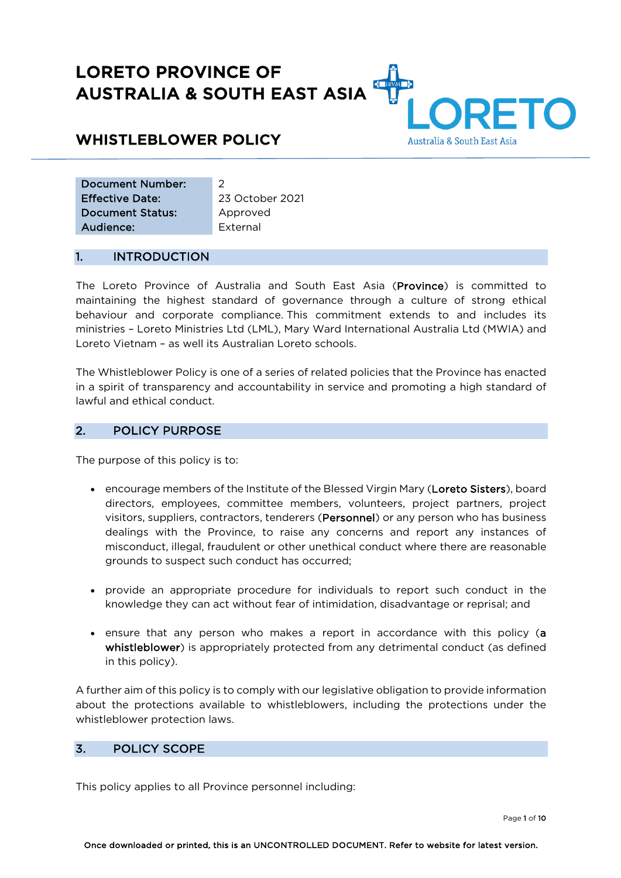# LORETO PROVINCE OF AUSTRALIA & SOUTH EAST ASIA

## WHISTLEBLOWER POLICY

|  | Australia & South East Asia |  |
|--|-----------------------------|--|

 $\mathbf{A}$ 

| Document Number:       | 2               |
|------------------------|-----------------|
| <b>Effective Date:</b> | 23 October 2021 |
| Document Status:       | Approved        |
| Audience:              | External        |

## 1. INTRODUCTION

The Loreto Province of Australia and South East Asia (Province) is committed to maintaining the highest standard of governance through a culture of strong ethical behaviour and corporate compliance. This commitment extends to and includes its ministries – Loreto Ministries Ltd (LML), Mary Ward International Australia Ltd (MWIA) and Loreto Vietnam – as well its Australian Loreto schools.

The Whistleblower Policy is one of a series of related policies that the Province has enacted in a spirit of transparency and accountability in service and promoting a high standard of lawful and ethical conduct.

## 2. POLICY PURPOSE

The purpose of this policy is to:

- encourage members of the Institute of the Blessed Virgin Mary (Loreto Sisters), board directors, employees, committee members, volunteers, project partners, project visitors, suppliers, contractors, tenderers (Personnel) or any person who has business dealings with the Province, to raise any concerns and report any instances of misconduct, illegal, fraudulent or other unethical conduct where there are reasonable grounds to suspect such conduct has occurred;
- provide an appropriate procedure for individuals to report such conduct in the knowledge they can act without fear of intimidation, disadvantage or reprisal; and
- ensure that any person who makes a report in accordance with this policy (a whistleblower) is appropriately protected from any detrimental conduct (as defined in this policy).

A further aim of this policy is to comply with our legislative obligation to provide information about the protections available to whistleblowers, including the protections under the whistleblower protection laws.

## 3. POLICY SCOPE

This policy applies to all Province personnel including: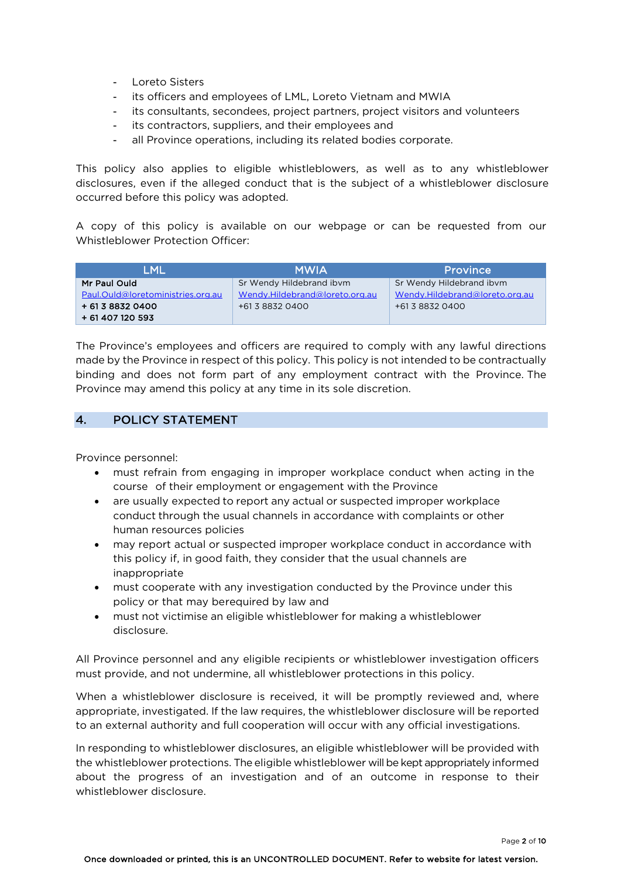- Loreto Sisters
- its officers and employees of LML, Loreto Vietnam and MWIA
- its consultants, secondees, project partners, project visitors and volunteers
- its contractors, suppliers, and their employees and
- all Province operations, including its related bodies corporate.

This policy also applies to eligible whistleblowers, as well as to any whistleblower disclosures, even if the alleged conduct that is the subject of a whistleblower disclosure occurred before this policy was adopted.

A copy of this policy is available on our webpage or can be requested from our Whistleblower Protection Officer:

| LML                               | <b>MWIA</b>                    | <b>Province</b>                |
|-----------------------------------|--------------------------------|--------------------------------|
| Mr Paul Ould                      | Sr Wendy Hildebrand ibym       | Sr Wendy Hildebrand ibym       |
| Paul.Ould@loretoministries.org.au | Wendy.Hildebrand@loreto.org.au | Wendy.Hildebrand@loreto.org.au |
| + 61 3 8832 0400                  | +61 3 8832 0400                | +61 3 8832 0400                |
| + 61 407 120 593                  |                                |                                |

The Province's employees and officers are required to comply with any lawful directions made by the Province in respect of this policy. This policy is not intended to be contractually binding and does not form part of any employment contract with the Province. The Province may amend this policy at any time in its sole discretion.

## 4. POLICY STATEMENT

Province personnel:

- must refrain from engaging in improper workplace conduct when acting in the course of their employment or engagement with the Province
- are usually expected to report any actual or suspected improper workplace conduct through the usual channels in accordance with complaints or other human resources policies
- may report actual or suspected improper workplace conduct in accordance with this policy if, in good faith, they consider that the usual channels are inappropriate
- must cooperate with any investigation conducted by the Province under this policy or that may berequired by law and
- must not victimise an eligible whistleblower for making a whistleblower disclosure.

All Province personnel and any eligible recipients or whistleblower investigation officers must provide, and not undermine, all whistleblower protections in this policy.

When a whistleblower disclosure is received, it will be promptly reviewed and, where appropriate, investigated. If the law requires, the whistleblower disclosure will be reported to an external authority and full cooperation will occur with any official investigations.

In responding to whistleblower disclosures, an eligible whistleblower will be provided with the whistleblower protections. The eligible whistleblower will be kept appropriately informed about the progress of an investigation and of an outcome in response to their whistleblower disclosure.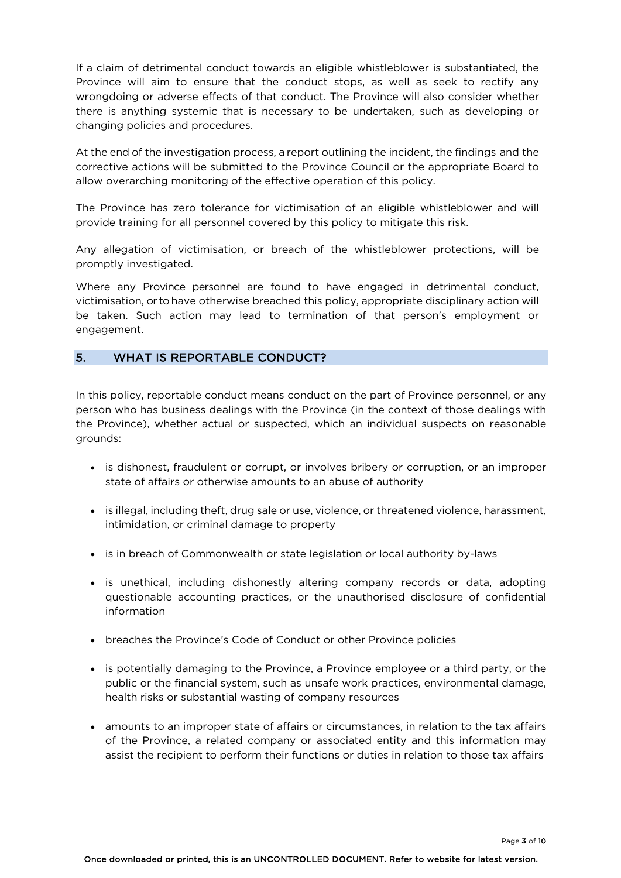If a claim of detrimental conduct towards an eligible whistleblower is substantiated, the Province will aim to ensure that the conduct stops, as well as seek to rectify any wrongdoing or adverse effects of that conduct. The Province will also consider whether there is anything systemic that is necessary to be undertaken, such as developing or changing policies and procedures.

At the end of the investigation process, a report outlining the incident, the findings and the corrective actions will be submitted to the Province Council or the appropriate Board to allow overarching monitoring of the effective operation of this policy.

The Province has zero tolerance for victimisation of an eligible whistleblower and will provide training for all personnel covered by this policy to mitigate this risk.

Any allegation of victimisation, or breach of the whistleblower protections, will be promptly investigated.

Where any Province personnel are found to have engaged in detrimental conduct, victimisation, or to have otherwise breached this policy, appropriate disciplinary action will be taken. Such action may lead to termination of that person's employment or engagement.

#### 5. WHAT IS REPORTABLE CONDUCT?

In this policy, reportable conduct means conduct on the part of Province personnel, or any person who has business dealings with the Province (in the context of those dealings with the Province), whether actual or suspected, which an individual suspects on reasonable grounds:

- is dishonest, fraudulent or corrupt, or involves bribery or corruption, or an improper state of affairs or otherwise amounts to an abuse of authority
- is illegal, including theft, drug sale or use, violence, or threatened violence, harassment, intimidation, or criminal damage to property
- is in breach of Commonwealth or state legislation or local authority by-laws
- is unethical, including dishonestly altering company records or data, adopting questionable accounting practices, or the unauthorised disclosure of confidential information
- breaches the Province's Code of Conduct or other Province policies
- is potentially damaging to the Province, a Province employee or a third party, or the public or the financial system, such as unsafe work practices, environmental damage, health risks or substantial wasting of company resources
- amounts to an improper state of affairs or circumstances, in relation to the tax affairs of the Province, a related company or associated entity and this information may assist the recipient to perform their functions or duties in relation to those tax affairs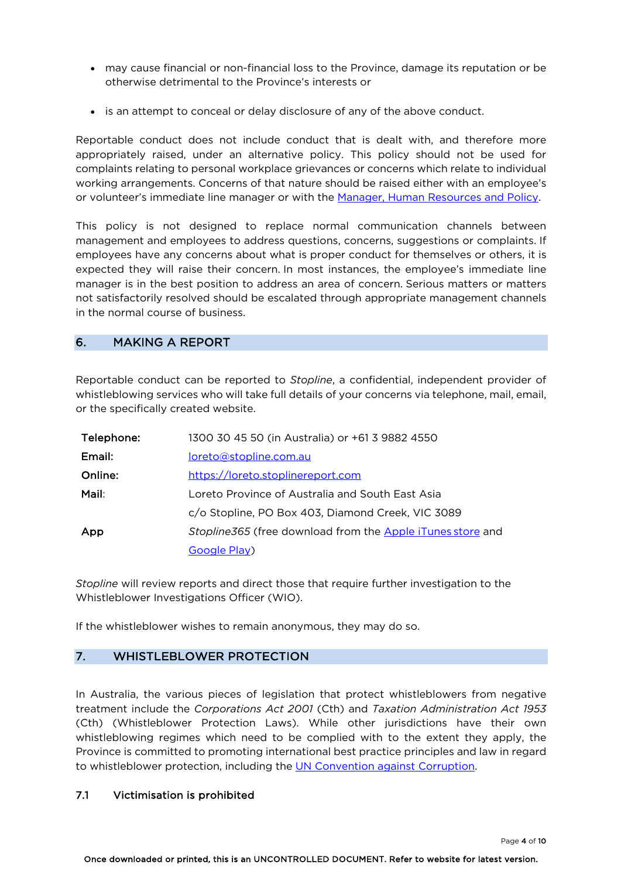- may cause financial or non-financial loss to the Province, damage its reputation or be otherwise detrimental to the Province's interests or
- is an attempt to conceal or delay disclosure of any of the above conduct.

Reportable conduct does not include conduct that is dealt with, and therefore more appropriately raised, under an alternative policy. This policy should not be used for complaints relating to personal workplace grievances or concerns which relate to individual working arrangements. Concerns of that nature should be raised either with an employee's or volunteer's immediate line manager or with the Manager, Human Resources and Policy.

This policy is not designed to replace normal communication channels between management and employees to address questions, concerns, suggestions or complaints. If employees have any concerns about what is proper conduct for themselves or others, it is expected they will raise their concern. In most instances, the employee's immediate line manager is in the best position to address an area of concern. Serious matters or matters not satisfactorily resolved should be escalated through appropriate management channels in the normal course of business.

## 6. MAKING A REPORT

Reportable conduct can be reported to *Stopline*, a confidential, independent provider of whistleblowing services who will take full details of your concerns via telephone, mail, email, or the specifically created website.

| Telephone: | 1300 30 45 50 (in Australia) or +61 3 9882 4550            |
|------------|------------------------------------------------------------|
| Email:     | loreto@stopline.com.au                                     |
| Online:    | https://loreto.stoplinereport.com                          |
| Mail:      | Loreto Province of Australia and South East Asia           |
|            | c/o Stopline, PO Box 403, Diamond Creek, VIC 3089          |
| App        | Stopline365 (free download from the Apple iTunes store and |
|            | Google Play)                                               |

*Stopline* will review reports and direct those that require further investigation to the Whistleblower Investigations Officer (WIO).

If the whistleblower wishes to remain anonymous, they may do so.

## 7. WHISTLEBLOWER PROTECTION

In Australia, the various pieces of legislation that protect whistleblowers from negative treatment include the *Corporations Act 2001* (Cth) and *Taxation Administration Act 1953* (Cth) (Whistleblower Protection Laws). While other jurisdictions have their own whistleblowing regimes which need to be complied with to the extent they apply, the Province is committed to promoting international best practice principles and law in regard to whistleblower protection, including the UN Convention against Corruption.

#### 7.1 Victimisation is prohibited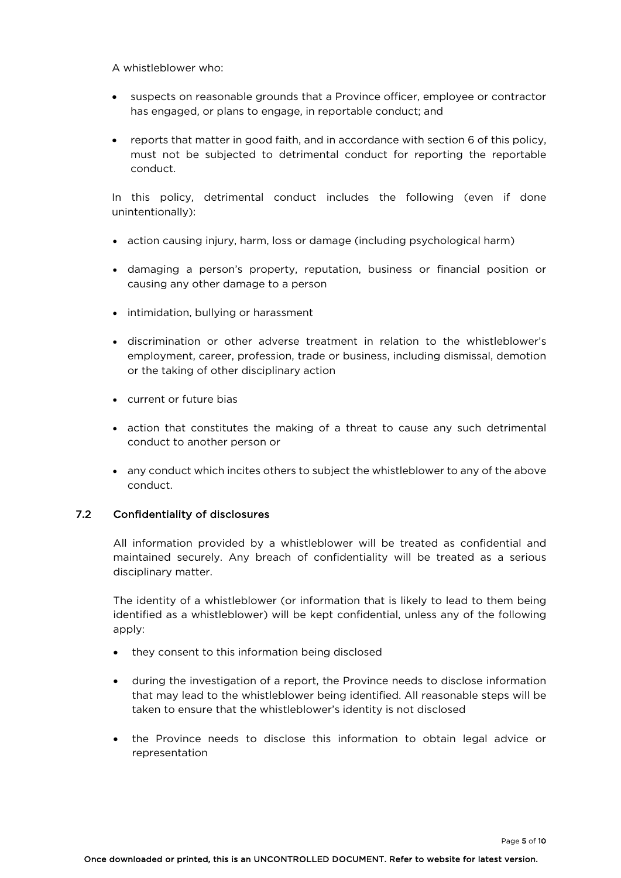A whistleblower who:

- suspects on reasonable grounds that a Province officer, employee or contractor has engaged, or plans to engage, in reportable conduct; and
- reports that matter in good faith, and in accordance with section 6 of this policy, must not be subjected to detrimental conduct for reporting the reportable conduct.

In this policy, detrimental conduct includes the following (even if done unintentionally):

- action causing injury, harm, loss or damage (including psychological harm)
- damaging a person's property, reputation, business or financial position or causing any other damage to a person
- intimidation, bullying or harassment
- discrimination or other adverse treatment in relation to the whistleblower's employment, career, profession, trade or business, including dismissal, demotion or the taking of other disciplinary action
- current or future bias
- action that constitutes the making of a threat to cause any such detrimental conduct to another person or
- any conduct which incites others to subject the whistleblower to any of the above conduct.

#### 7.2 Confidentiality of disclosures

All information provided by a whistleblower will be treated as confidential and maintained securely. Any breach of confidentiality will be treated as a serious disciplinary matter.

The identity of a whistleblower (or information that is likely to lead to them being identified as a whistleblower) will be kept confidential, unless any of the following apply:

- they consent to this information being disclosed
- during the investigation of a report, the Province needs to disclose information that may lead to the whistleblower being identified. All reasonable steps will be taken to ensure that the whistleblower's identity is not disclosed
- the Province needs to disclose this information to obtain legal advice or representation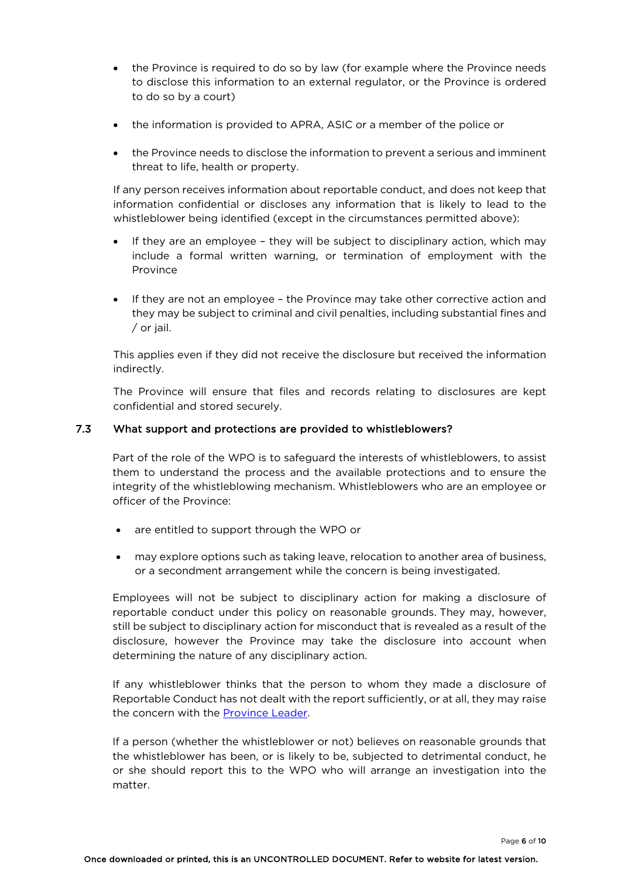- the Province is required to do so by law (for example where the Province needs to disclose this information to an external regulator, or the Province is ordered to do so by a court)
- the information is provided to APRA, ASIC or a member of the police or
- the Province needs to disclose the information to prevent a serious and imminent threat to life, health or property.

If any person receives information about reportable conduct, and does not keep that information confidential or discloses any information that is likely to lead to the whistleblower being identified (except in the circumstances permitted above):

- If they are an employee they will be subject to disciplinary action, which may include a formal written warning, or termination of employment with the Province
- If they are not an employee the Province may take other corrective action and they may be subject to criminal and civil penalties, including substantial fines and / or jail.

This applies even if they did not receive the disclosure but received the information indirectly.

The Province will ensure that files and records relating to disclosures are kept confidential and stored securely.

#### 7.3 What support and protections are provided to whistleblowers?

Part of the role of the WPO is to safeguard the interests of whistleblowers, to assist them to understand the process and the available protections and to ensure the integrity of the whistleblowing mechanism. Whistleblowers who are an employee or officer of the Province:

- are entitled to support through the WPO or
- may explore options such as taking leave, relocation to another area of business, or a secondment arrangement while the concern is being investigated.

Employees will not be subject to disciplinary action for making a disclosure of reportable conduct under this policy on reasonable grounds. They may, however, still be subject to disciplinary action for misconduct that is revealed as a result of the disclosure, however the Province may take the disclosure into account when determining the nature of any disciplinary action.

If any whistleblower thinks that the person to whom they made a disclosure of Reportable Conduct has not dealt with the report sufficiently, or at all, they may raise the concern with the Province Leader.

If a person (whether the whistleblower or not) believes on reasonable grounds that the whistleblower has been, or is likely to be, subjected to detrimental conduct, he or she should report this to the WPO who will arrange an investigation into the matter.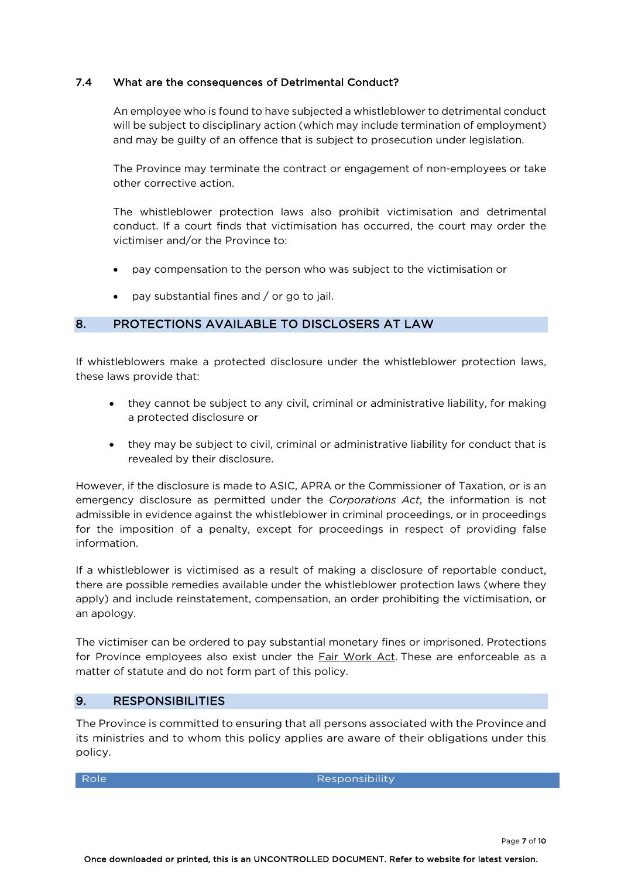## 7.4 What are the consequences of Detrimental Conduct?

An employee who is found to have subjected a whistleblower to detrimental conduct will be subject to disciplinary action (which may include termination of employment) and may be guilty of an offence that is subject to prosecution under legislation.

The Province may terminate the contract or engagement of non-employees or take other corrective action.

The whistleblower protection laws also prohibit victimisation and detrimental conduct. If a court finds that victimisation has occurred, the court may order the victimiser and/or the Province to:

- pay compensation to the person who was subject to the victimisation or
- pay substantial fines and / or go to jail.

## 8. PROTECTIONS AVAILABLE TO DISCLOSERS AT LAW

If whistleblowers make a protected disclosure under the whistleblower protection laws, these laws provide that:

- they cannot be subject to any civil, criminal or administrative liability, for making a protected disclosure or
- they may be subject to civil, criminal or administrative liability for conduct that is revealed by their disclosure.

However, if the disclosure is made to ASIC, APRA or the Commissioner of Taxation, or is an emergency disclosure as permitted under the *Corporations Act*, the information is not admissible in evidence against the whistleblower in criminal proceedings, or in proceedings for the imposition of a penalty, except for proceedings in respect of providing false information.

If a whistleblower is victimised as a result of making a disclosure of reportable conduct, there are possible remedies available under the whistleblower protection laws (where they apply) and include reinstatement, compensation, an order prohibiting the victimisation, or an apology.

The victimiser can be ordered to pay substantial monetary fines or imprisoned. Protections for Province employees also exist under the Fair Work Act. These are enforceable as a matter of statute and do not form part of this policy.

#### 9. RESPONSIBILITIES

The Province is committed to ensuring that all persons associated with the Province and its ministries and to whom this policy applies are aware of their obligations under this policy.

Role **Role** Role Responsibility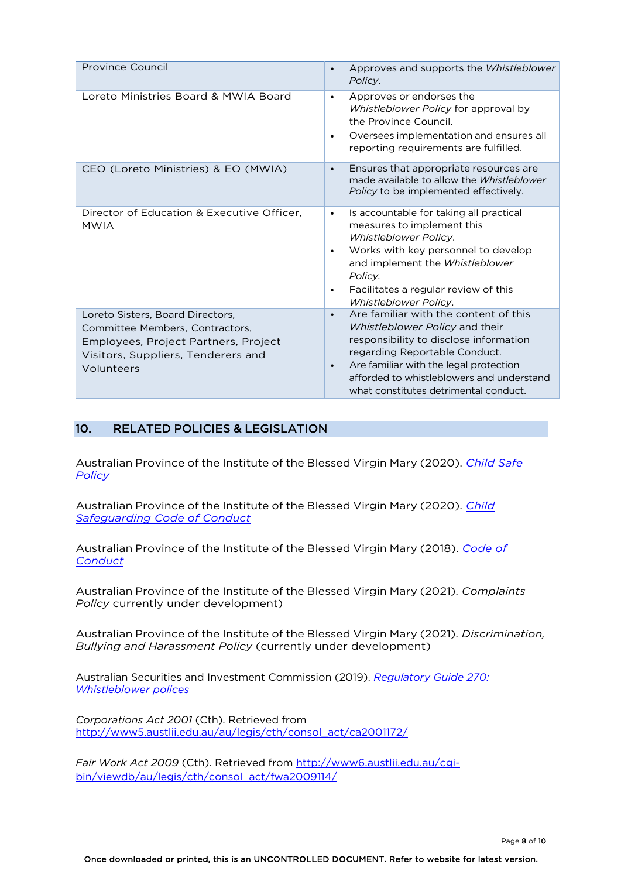| Province Council                                                                                                                                                | Approves and supports the Whistleblower<br>$\bullet$<br>Policy.                                                                                                                                                                                                                                              |
|-----------------------------------------------------------------------------------------------------------------------------------------------------------------|--------------------------------------------------------------------------------------------------------------------------------------------------------------------------------------------------------------------------------------------------------------------------------------------------------------|
| Loreto Ministries Board & MWIA Board                                                                                                                            | Approves or endorses the<br>$\bullet$<br>Whistleblower Policy for approval by<br>the Province Council.<br>Oversees implementation and ensures all<br>$\bullet$<br>reporting requirements are fulfilled.                                                                                                      |
| CEO (Loreto Ministries) & EO (MWIA)                                                                                                                             | Ensures that appropriate resources are.<br>$\bullet$<br>made available to allow the Whistleblower<br>Policy to be implemented effectively.                                                                                                                                                                   |
| Director of Education & Executive Officer,<br><b>MWIA</b>                                                                                                       | Is accountable for taking all practical<br>$\bullet$<br>measures to implement this<br><b>Whistleblower Policy.</b><br>Works with key personnel to develop<br>$\bullet$<br>and implement the Whistleblower<br>Policy.<br>Facilitates a regular review of this<br>$\bullet$<br><b>Whistleblower Policy.</b>    |
| Loreto Sisters, Board Directors,<br>Committee Members, Contractors,<br>Employees, Project Partners, Project<br>Visitors, Suppliers, Tenderers and<br>Volunteers | Are familiar with the content of this<br>$\bullet$<br>Whistleblower Policy and their<br>responsibility to disclose information<br>regarding Reportable Conduct.<br>Are familiar with the legal protection<br>$\bullet$<br>afforded to whistleblowers and understand<br>what constitutes detrimental conduct. |

## 10. RELATED POLICIES & LEGISLATION

Australian Province of the Institute of the Blessed Virgin Mary (2020). *Child Safe Policy*

Australian Province of the Institute of the Blessed Virgin Mary (2020). *Child Safeguarding Code of Conduct*

Australian Province of the Institute of the Blessed Virgin Mary (2018). *Code of Conduct*

Australian Province of the Institute of the Blessed Virgin Mary (2021). *Complaints Policy* currently under development)

Australian Province of the Institute of the Blessed Virgin Mary (2021). *Discrimination, Bullying and Harassment Policy* (currently under development)

Australian Securities and Investment Commission (2019). *Regulatory Guide 270: Whistleblower polices*

*Corporations Act 2001* (Cth). Retrieved from http://www5.austlii.edu.au/au/legis/cth/consol\_act/ca2001172/

*Fair Work Act 2009* (Cth). Retrieved from http://www6.austlii.edu.au/cgibin/viewdb/au/legis/cth/consol\_act/fwa2009114/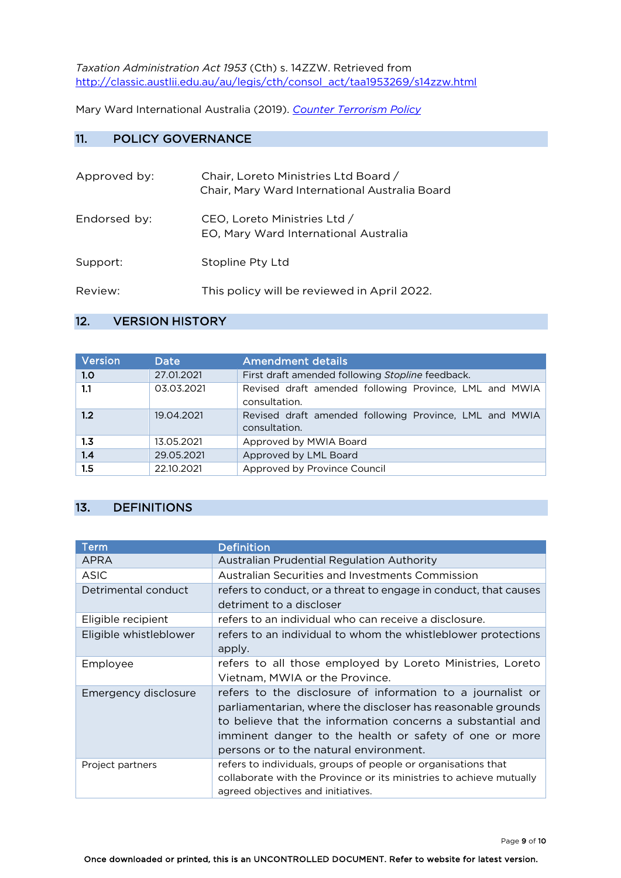*Taxation Administration Act 1953* (Cth) s. 14ZZW. Retrieved from http://classic.austlii.edu.au/au/legis/cth/consol\_act/taa1953269/s14zzw.html

Mary Ward International Australia (2019). *Counter Terrorism Policy*

## 11. POLICY GOVERNANCE

| Approved by: | Chair, Loreto Ministries Ltd Board /<br>Chair, Mary Ward International Australia Board |
|--------------|----------------------------------------------------------------------------------------|
| Endorsed by: | CEO, Loreto Ministries Ltd /<br>EO, Mary Ward International Australia                  |
| Support:     | Stopline Pty Ltd                                                                       |
| Review:      | This policy will be reviewed in April 2022.                                            |

## 12. VERSION HISTORY

| Version | <b>Date</b> | <b>Amendment details</b>                                                |
|---------|-------------|-------------------------------------------------------------------------|
| 1.0     | 27.01.2021  | First draft amended following Stopline feedback.                        |
| 1.1     | 03.03.2021  | Revised draft amended following Province, LML and MWIA<br>consultation. |
| 1.2     | 19.04.2021  | Revised draft amended following Province, LML and MWIA<br>consultation. |
| 1.3     | 13.05.2021  | Approved by MWIA Board                                                  |
| 1.4     | 29.05.2021  | Approved by LML Board                                                   |
| 1.5     | 22.10.2021  | Approved by Province Council                                            |

## 13. DEFINITIONS

| Term                   | <b>Definition</b>                                                                                                                                                                                                                                                                           |
|------------------------|---------------------------------------------------------------------------------------------------------------------------------------------------------------------------------------------------------------------------------------------------------------------------------------------|
| <b>APRA</b>            | Australian Prudential Regulation Authority                                                                                                                                                                                                                                                  |
| ASIC                   | Australian Securities and Investments Commission                                                                                                                                                                                                                                            |
| Detrimental conduct    | refers to conduct, or a threat to engage in conduct, that causes<br>detriment to a discloser                                                                                                                                                                                                |
| Eligible recipient     | refers to an individual who can receive a disclosure.                                                                                                                                                                                                                                       |
| Eligible whistleblower | refers to an individual to whom the whistleblower protections<br>apply.                                                                                                                                                                                                                     |
| Employee               | refers to all those employed by Loreto Ministries, Loreto<br>Vietnam, MWIA or the Province.                                                                                                                                                                                                 |
| Emergency disclosure   | refers to the disclosure of information to a journalist or<br>parliamentarian, where the discloser has reasonable grounds<br>to believe that the information concerns a substantial and<br>imminent danger to the health or safety of one or more<br>persons or to the natural environment. |
| Project partners       | refers to individuals, groups of people or organisations that<br>collaborate with the Province or its ministries to achieve mutually<br>agreed objectives and initiatives.                                                                                                                  |